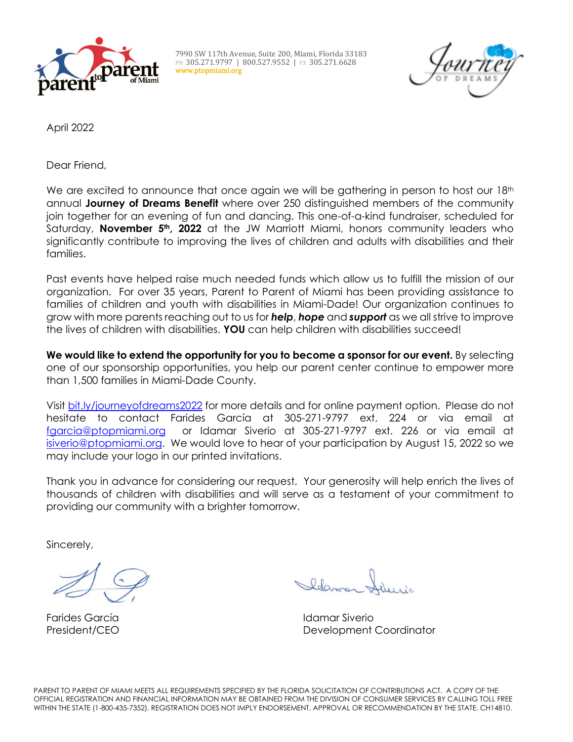

7990 SW 117th Avenue, Suite 200, Miami, Florida 33183 PH 305.271.9797 | 800.527.9552 | FX 305.271.6628 www.ptopmiami.org



April 2022

Dear Friend,

We are excited to announce that once again we will be gathering in person to host our 18<sup>th</sup> annual **Journey of Dreams Benefit** where over 250 distinguished members of the community join together for an evening of fun and dancing. This one-of-a-kind fundraiser, scheduled for Saturday, **November 5th, 2022** at the JW Marriott Miami, honors community leaders who significantly contribute to improving the lives of children and adults with disabilities and their families.

Past events have helped raise much needed funds which allow us to fulfill the mission of our organization.For over 35 years, Parent to Parent of Miami has been providing assistance to families of children and youth with disabilities in Miami-Dade! Our organization continues to grow with more parents reaching out to us for *help*, *hope* and *support* as we all strive to improve the lives of children with disabilities. **YOU** can help children with disabilities succeed!

**We would like to extend the opportunity for you to become a sponsor for our event.** By selecting one of our sponsorship opportunities, you help our parent center continue to empower more than 1,500 families in Miami-Dade County.

Visit [bit.ly/journeyofdreams2022](https://bit.ly/journeyofdreams2022) for more details and for online payment option. Please do not hesitate to contact Farides García at 305-271-9797 ext. 224 or via email at [fgarcia@ptopmiami.org](mailto:fgarcia@ptopmiami.org) or Idamar Siverio at 305-271-9797 ext. 226 or via email at [isiverio@ptopmiami.org.](mailto:isiverio@ptopmiami.org) We would love to hear of your participation by August 15, 2022 so we may include your logo in our printed invitations.

Thank you in advance for considering our request. Your generosity will help enrich the lives of thousands of children with disabilities and will serve as a testament of your commitment to providing our community with a brighter tomorrow.

Sincerely,

Farides García Idamar Siverio President/CEO Development Coordinator